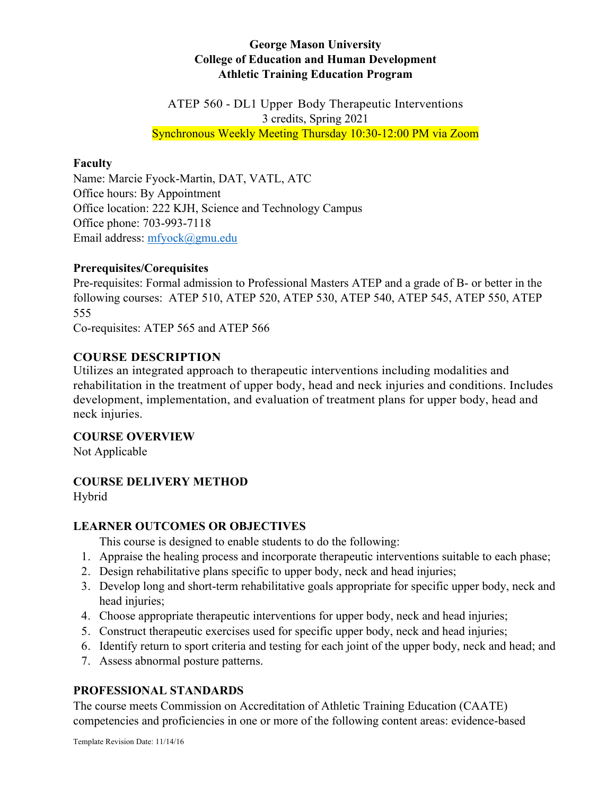### **George Mason University College of Education and Human Development Athletic Training Education Program**

ATEP 560 - DL1 Upper Body Therapeutic Interventions 3 credits, Spring 2021 Synchronous Weekly Meeting Thursday 10:30-12:00 PM via Zoom

#### **Faculty**

Name: Marcie Fyock-Martin, DAT, VATL, ATC Office hours: By Appointment Office location: 222 KJH, Science and Technology Campus Office phone: 703-993-7118 Email address: mfyock@gmu.edu

#### **Prerequisites/Corequisites**

Pre-requisites: Formal admission to Professional Masters ATEP and a grade of B- or better in the following courses: ATEP 510, ATEP 520, ATEP 530, ATEP 540, ATEP 545, ATEP 550, ATEP 555

Co-requisites: ATEP 565 and ATEP 566

#### **COURSE DESCRIPTION**

Utilizes an integrated approach to therapeutic interventions including modalities and rehabilitation in the treatment of upper body, head and neck injuries and conditions. Includes development, implementation, and evaluation of treatment plans for upper body, head and neck injuries.

**COURSE OVERVIEW**

Not Applicable

#### **COURSE DELIVERY METHOD**

Hybrid

#### **LEARNER OUTCOMES OR OBJECTIVES**

This course is designed to enable students to do the following:

- 1. Appraise the healing process and incorporate therapeutic interventions suitable to each phase;
- 2. Design rehabilitative plans specific to upper body, neck and head injuries;
- 3. Develop long and short-term rehabilitative goals appropriate for specific upper body, neck and head injuries;
- 4. Choose appropriate therapeutic interventions for upper body, neck and head injuries;
- 5. Construct therapeutic exercises used for specific upper body, neck and head injuries;
- 6. Identify return to sport criteria and testing for each joint of the upper body, neck and head; and
- 7. Assess abnormal posture patterns.

#### **PROFESSIONAL STANDARDS**

The course meets Commission on Accreditation of Athletic Training Education (CAATE) competencies and proficiencies in one or more of the following content areas: evidence-based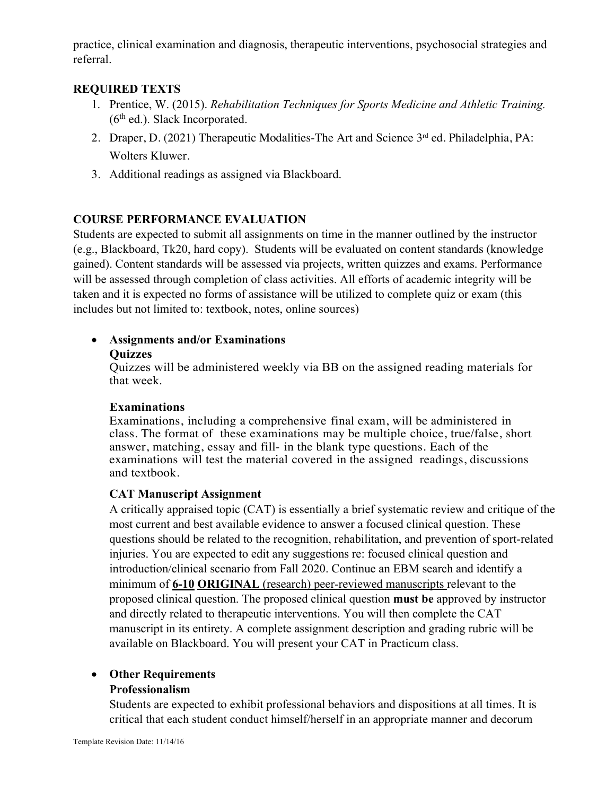practice, clinical examination and diagnosis, therapeutic interventions, psychosocial strategies and referral.

#### **REQUIRED TEXTS**

- 1. Prentice, W. (2015). *Rehabilitation Techniques for Sports Medicine and Athletic Training.*   $(6<sup>th</sup>$  ed.). Slack Incorporated.
- 2. Draper, D. (2021) Therapeutic Modalities-The Art and Science 3rd ed. Philadelphia, PA: Wolters Kluwer.
- 3. Additional readings as assigned via Blackboard.

#### **COURSE PERFORMANCE EVALUATION**

Students are expected to submit all assignments on time in the manner outlined by the instructor (e.g., Blackboard, Tk20, hard copy). Students will be evaluated on content standards (knowledge gained). Content standards will be assessed via projects, written quizzes and exams. Performance will be assessed through completion of class activities. All efforts of academic integrity will be taken and it is expected no forms of assistance will be utilized to complete quiz or exam (this includes but not limited to: textbook, notes, online sources)

## • **Assignments and/or Examinations**

#### **Quizzes**

Quizzes will be administered weekly via BB on the assigned reading materials for that week.

#### **Examinations**

Examinations, including a comprehensive final exam, will be administered in class. The format of these examinations may be multiple choice, true/false, short answer, matching, essay and fill- in the blank type questions. Each of the examinations will test the material covered in the assigned readings, discussions and textbook.

#### **CAT Manuscript Assignment**

A critically appraised topic (CAT) is essentially a brief systematic review and critique of the most current and best available evidence to answer a focused clinical question. These questions should be related to the recognition, rehabilitation, and prevention of sport-related injuries. You are expected to edit any suggestions re: focused clinical question and introduction/clinical scenario from Fall 2020. Continue an EBM search and identify a minimum of **6-10 ORIGINAL** (research) peer-reviewed manuscripts relevant to the proposed clinical question. The proposed clinical question **must be** approved by instructor and directly related to therapeutic interventions. You will then complete the CAT manuscript in its entirety. A complete assignment description and grading rubric will be available on Blackboard. You will present your CAT in Practicum class.

# • **Other Requirements**

### **Professionalism**

Students are expected to exhibit professional behaviors and dispositions at all times. It is critical that each student conduct himself/herself in an appropriate manner and decorum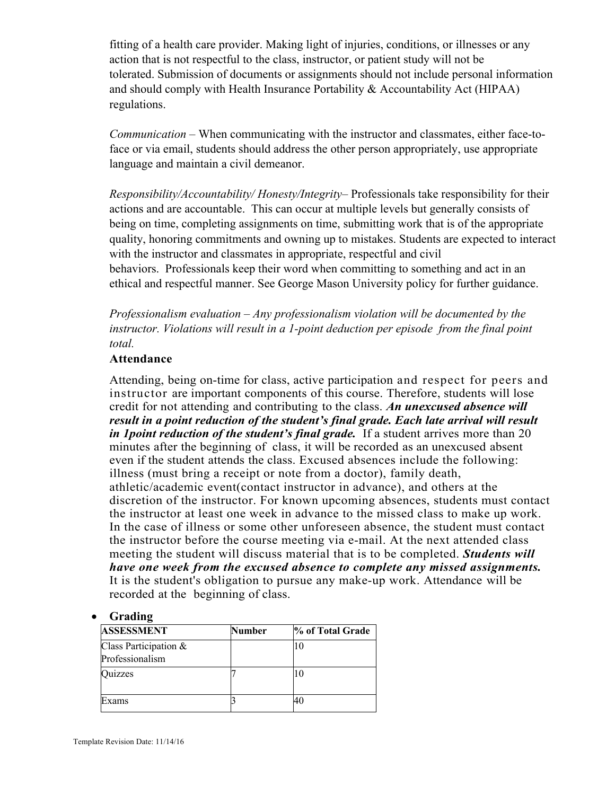fitting of a health care provider. Making light of injuries, conditions, or illnesses or any action that is not respectful to the class, instructor, or patient study will not be tolerated. Submission of documents or assignments should not include personal information and should comply with Health Insurance Portability & Accountability Act (HIPAA) regulations.

*Communication* – When communicating with the instructor and classmates, either face-toface or via email, students should address the other person appropriately, use appropriate language and maintain a civil demeanor.

*Responsibility/Accountability/ Honesty/Integrity*– Professionals take responsibility for their actions and are accountable. This can occur at multiple levels but generally consists of being on time, completing assignments on time, submitting work that is of the appropriate quality, honoring commitments and owning up to mistakes. Students are expected to interact with the instructor and classmates in appropriate, respectful and civil behaviors. Professionals keep their word when committing to something and act in an ethical and respectful manner. See George Mason University policy for further guidance.

*Professionalism evaluation – Any professionalism violation will be documented by the instructor. Violations will result in a 1-point deduction per episode from the final point total.*

#### **Attendance**

Attending, being on-time for class, active participation and respect for peers and instructor are important components of this course. Therefore, students will lose credit for not attending and contributing to the class. *An unexcused absence will result in a point reduction of the student's final grade. Each late arrival will result in 1 point reduction of the student's final grade.* If a student arrives more than 20 minutes after the beginning of class, it will be recorded as an unexcused absent even if the student attends the class. Excused absences include the following: illness (must bring a receipt or note from a doctor), family death, athletic/academic event(contact instructor in advance), and others at the discretion of the instructor. For known upcoming absences, students must contact the instructor at least one week in advance to the missed class to make up work. In the case of illness or some other unforeseen absence, the student must contact the instructor before the course meeting via e-mail. At the next attended class meeting the student will discuss material that is to be completed. *Students will have one week from the excused absence to complete any missed assignments.*  It is the student's obligation to pursue any make-up work. Attendance will be recorded at the beginning of class.

#### • **Grading**

| <b>ASSESSMENT</b>                        | Number | % of Total Grade |
|------------------------------------------|--------|------------------|
| Class Participation &<br>Professionalism |        | 10               |
| )uizzes                                  |        |                  |
| Exams                                    |        |                  |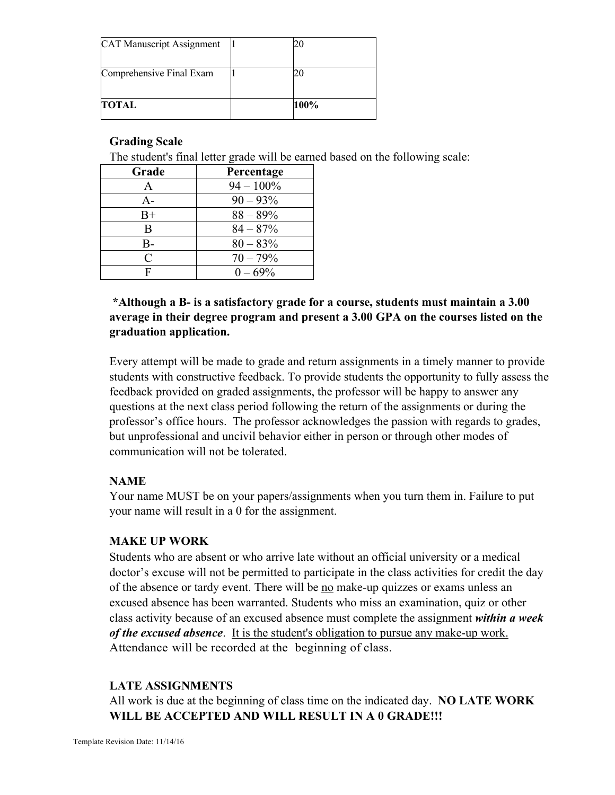| TOTAL                            | 100% |
|----------------------------------|------|
| Comprehensive Final Exam         |      |
| <b>CAT Manuscript Assignment</b> |      |

#### **Grading Scale**

The student's final letter grade will be earned based on the following scale:

| Grade | Percentage   |
|-------|--------------|
| A     | $94 - 100\%$ |
| $A -$ | $90 - 93\%$  |
| $B+$  | $88 - 89\%$  |
| В     | $84 - 87%$   |
| B-    | $80 - 83%$   |
| C     | $70 - 79%$   |
| F     | $0 - 69\%$   |

## **\*Although a B- is a satisfactory grade for a course, students must maintain a 3.00 average in their degree program and present a 3.00 GPA on the courses listed on the graduation application.**

Every attempt will be made to grade and return assignments in a timely manner to provide students with constructive feedback. To provide students the opportunity to fully assess the feedback provided on graded assignments, the professor will be happy to answer any questions at the next class period following the return of the assignments or during the professor's office hours. The professor acknowledges the passion with regards to grades, but unprofessional and uncivil behavior either in person or through other modes of communication will not be tolerated.

#### **NAME**

Your name MUST be on your papers/assignments when you turn them in. Failure to put your name will result in a 0 for the assignment.

#### **MAKE UP WORK**

Students who are absent or who arrive late without an official university or a medical doctor's excuse will not be permitted to participate in the class activities for credit the day of the absence or tardy event. There will be no make-up quizzes or exams unless an excused absence has been warranted. Students who miss an examination, quiz or other class activity because of an excused absence must complete the assignment *within a week of the excused absence*. It is the student's obligation to pursue any make-up work. Attendance will be recorded at the beginning of class.

#### **LATE ASSIGNMENTS**

All work is due at the beginning of class time on the indicated day. **NO LATE WORK WILL BE ACCEPTED AND WILL RESULT IN A 0 GRADE!!!**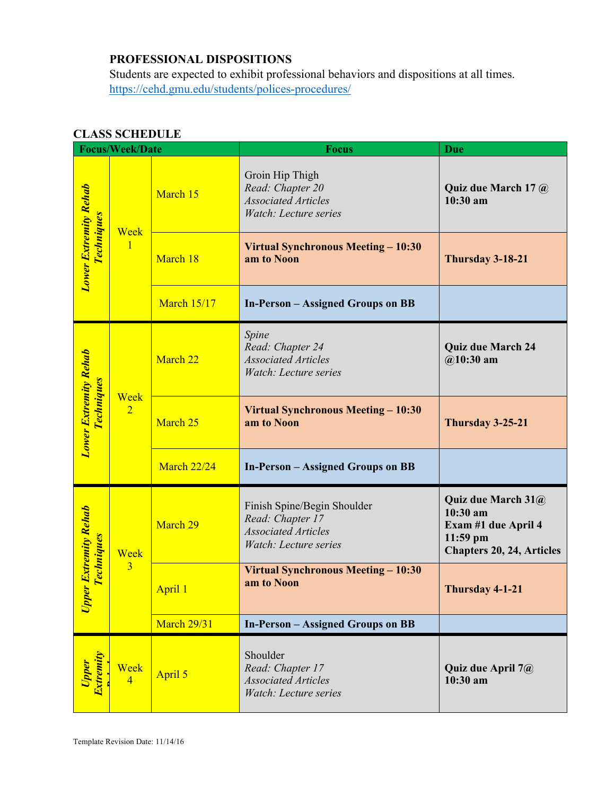# **PROFESSIONAL DISPOSITIONS**

Students are expected to exhibit professional behaviors and dispositions at all times. https://cehd.gmu.edu/students/polices-procedures/

| <b>Focus/Week/Date</b>                               |                        |                    | <b>Focus</b>                                                                                           | <b>Due</b>                                                                                              |
|------------------------------------------------------|------------------------|--------------------|--------------------------------------------------------------------------------------------------------|---------------------------------------------------------------------------------------------------------|
| <b>Lower Extremity Rehab</b><br><b>Techniques</b>    | Week<br>$\mathbf{1}$   | March 15           | Groin Hip Thigh<br>Read: Chapter 20<br><b>Associated Articles</b><br>Watch: Lecture series             | Quiz due March 17 @<br>$10:30$ am                                                                       |
|                                                      |                        | March 18           | Virtual Synchronous Meeting - 10:30<br>am to Noon                                                      | Thursday 3-18-21                                                                                        |
|                                                      |                        | <b>March 15/17</b> | <b>In-Person – Assigned Groups on BB</b>                                                               |                                                                                                         |
| <b>Lower Extremity Rehab</b><br><b>Techniques</b>    | Week<br>$\overline{2}$ | March 22           | Spine<br>Read: Chapter 24<br><b>Associated Articles</b><br>Watch: Lecture series                       | <b>Quiz due March 24</b><br>$@10:30$ am                                                                 |
|                                                      |                        | March 25           | Virtual Synchronous Meeting - 10:30<br>am to Noon                                                      | Thursday 3-25-21                                                                                        |
|                                                      |                        | <b>March 22/24</b> | <b>In-Person - Assigned Groups on BB</b>                                                               |                                                                                                         |
| <b>Extremity Rehab</b><br><b>Techniques</b><br>Upper | Week<br>$\overline{3}$ | March 29           | Finish Spine/Begin Shoulder<br>Read: Chapter 17<br><b>Associated Articles</b><br>Watch: Lecture series | Quiz due March 31@<br>10:30 am<br>Exam #1 due April 4<br>$11:59$ pm<br><b>Chapters 20, 24, Articles</b> |
|                                                      |                        | April 1            | Virtual Synchronous Meeting - 10:30<br>am to Noon                                                      | Thursday 4-1-21                                                                                         |
|                                                      |                        | <b>March 29/31</b> | <b>In-Person - Assigned Groups on BB</b>                                                               |                                                                                                         |
| Upper<br>Extremity                                   | Week<br>$\overline{4}$ | April 5            | Shoulder<br>Read: Chapter 17<br><b>Associated Articles</b><br>Watch: Lecture series                    | Quiz due April 7@<br>10:30 am                                                                           |

#### **CLASS SCHEDULE**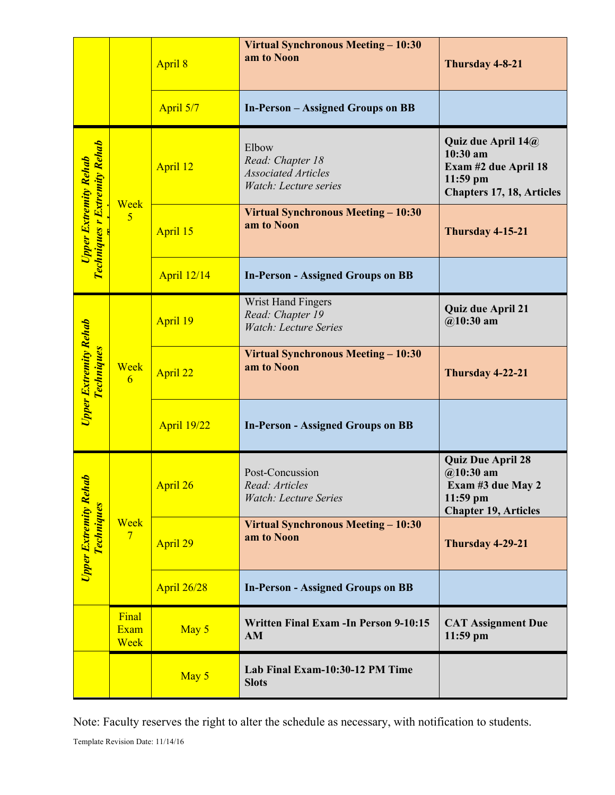|                                                                            |                              | April 8            | <b>Virtual Synchronous Meeting - 10:30</b><br>am to Noon                         | Thursday 4-8-21                                                                                            |
|----------------------------------------------------------------------------|------------------------------|--------------------|----------------------------------------------------------------------------------|------------------------------------------------------------------------------------------------------------|
|                                                                            |                              | April 5/7          | <b>In-Person – Assigned Groups on BB</b>                                         |                                                                                                            |
| <b>Techniques r Extremity Rehab</b><br><b>Upper Extremity Rehab</b>        | Week<br>$\overline{5}$       | April 12           | Elbow<br>Read: Chapter 18<br><b>Associated Articles</b><br>Watch: Lecture series | Quiz due April 14@<br>$10:30$ am<br>Exam #2 due April 18<br>$11:59$ pm<br><b>Chapters 17, 18, Articles</b> |
|                                                                            |                              | April 15           | Virtual Synchronous Meeting – 10:30<br>am to Noon                                | Thursday 4-15-21                                                                                           |
|                                                                            |                              | <b>April 12/14</b> | <b>In-Person - Assigned Groups on BB</b>                                         |                                                                                                            |
| Upper Extremity Rehab<br><b>Techniques</b>                                 | Week<br>6                    | April 19           | Wrist Hand Fingers<br>Read: Chapter 19<br><b>Watch: Lecture Series</b>           | <b>Quiz due April 21</b><br>$@10:30$ am                                                                    |
|                                                                            |                              | April 22           | Virtual Synchronous Meeting - 10:30<br>am to Noon                                | Thursday 4-22-21                                                                                           |
|                                                                            |                              | <b>April 19/22</b> | <b>In-Person - Assigned Groups on BB</b>                                         |                                                                                                            |
| $\boldsymbol{v}$<br>U <mark>pper Extremity Reh</mark><br><b>Techniques</b> | Week<br>$7\phantom{.0}$      | April 26           | Post-Concussion<br>Read: Articles<br><b>Watch: Lecture Series</b>                | <b>Quiz Due April 28</b><br>$@10:30$ am<br>Exam #3 due May 2<br>11:59 pm<br><b>Chapter 19, Articles</b>    |
|                                                                            |                              | April 29           | <b>Virtual Synchronous Meeting - 10:30</b><br>am to Noon                         | Thursday 4-29-21                                                                                           |
|                                                                            |                              | <b>April 26/28</b> | <b>In-Person - Assigned Groups on BB</b>                                         |                                                                                                            |
|                                                                            | Final<br><b>Exam</b><br>Week | May 5              | <b>Written Final Exam - In Person 9-10:15</b><br>AM                              | <b>CAT Assignment Due</b><br>11:59 pm                                                                      |
|                                                                            |                              | May 5              | Lab Final Exam-10:30-12 PM Time<br><b>Slots</b>                                  |                                                                                                            |

Note: Faculty reserves the right to alter the schedule as necessary, with notification to students.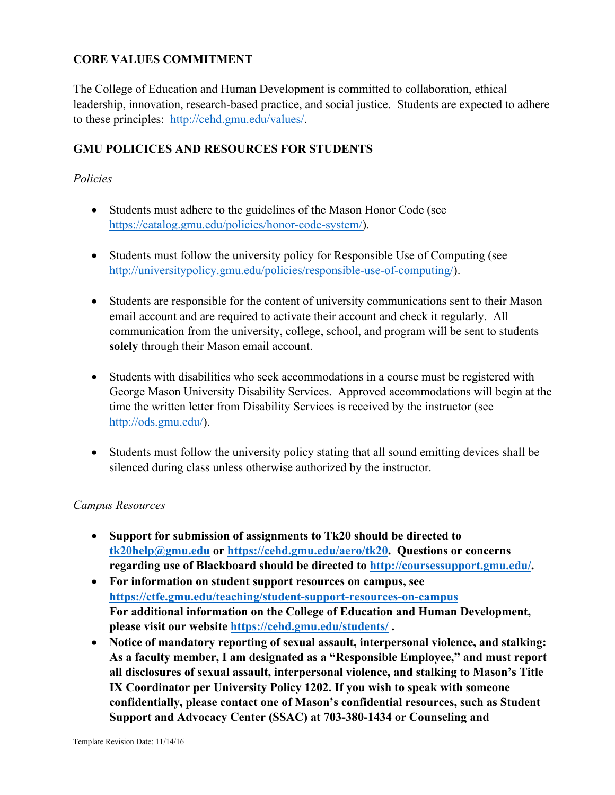#### **CORE VALUES COMMITMENT**

The College of Education and Human Development is committed to collaboration, ethical leadership, innovation, research-based practice, and social justice. Students are expected to adhere to these principles: http://cehd.gmu.edu/values/.

### **GMU POLICICES AND RESOURCES FOR STUDENTS**

#### *Policies*

- Students must adhere to the guidelines of the Mason Honor Code (see https://catalog.gmu.edu/policies/honor-code-system/).
- Students must follow the university policy for Responsible Use of Computing (see http://universitypolicy.gmu.edu/policies/responsible-use-of-computing/).
- Students are responsible for the content of university communications sent to their Mason email account and are required to activate their account and check it regularly. All communication from the university, college, school, and program will be sent to students **solely** through their Mason email account.
- Students with disabilities who seek accommodations in a course must be registered with George Mason University Disability Services. Approved accommodations will begin at the time the written letter from Disability Services is received by the instructor (see http://ods.gmu.edu/).
- Students must follow the university policy stating that all sound emitting devices shall be silenced during class unless otherwise authorized by the instructor.

#### *Campus Resources*

- **Support for submission of assignments to Tk20 should be directed to tk20help@gmu.edu or https://cehd.gmu.edu/aero/tk20. Questions or concerns regarding use of Blackboard should be directed to http://coursessupport.gmu.edu/.**
- **For information on student support resources on campus, see https://ctfe.gmu.edu/teaching/student-support-resources-on-campus For additional information on the College of Education and Human Development, please visit our website https://cehd.gmu.edu/students/ .**
- **Notice of mandatory reporting of sexual assault, interpersonal violence, and stalking: As a faculty member, I am designated as a "Responsible Employee," and must report all disclosures of sexual assault, interpersonal violence, and stalking to Mason's Title IX Coordinator per University Policy 1202. If you wish to speak with someone confidentially, please contact one of Mason's confidential resources, such as Student Support and Advocacy Center (SSAC) at 703-380-1434 or Counseling and**